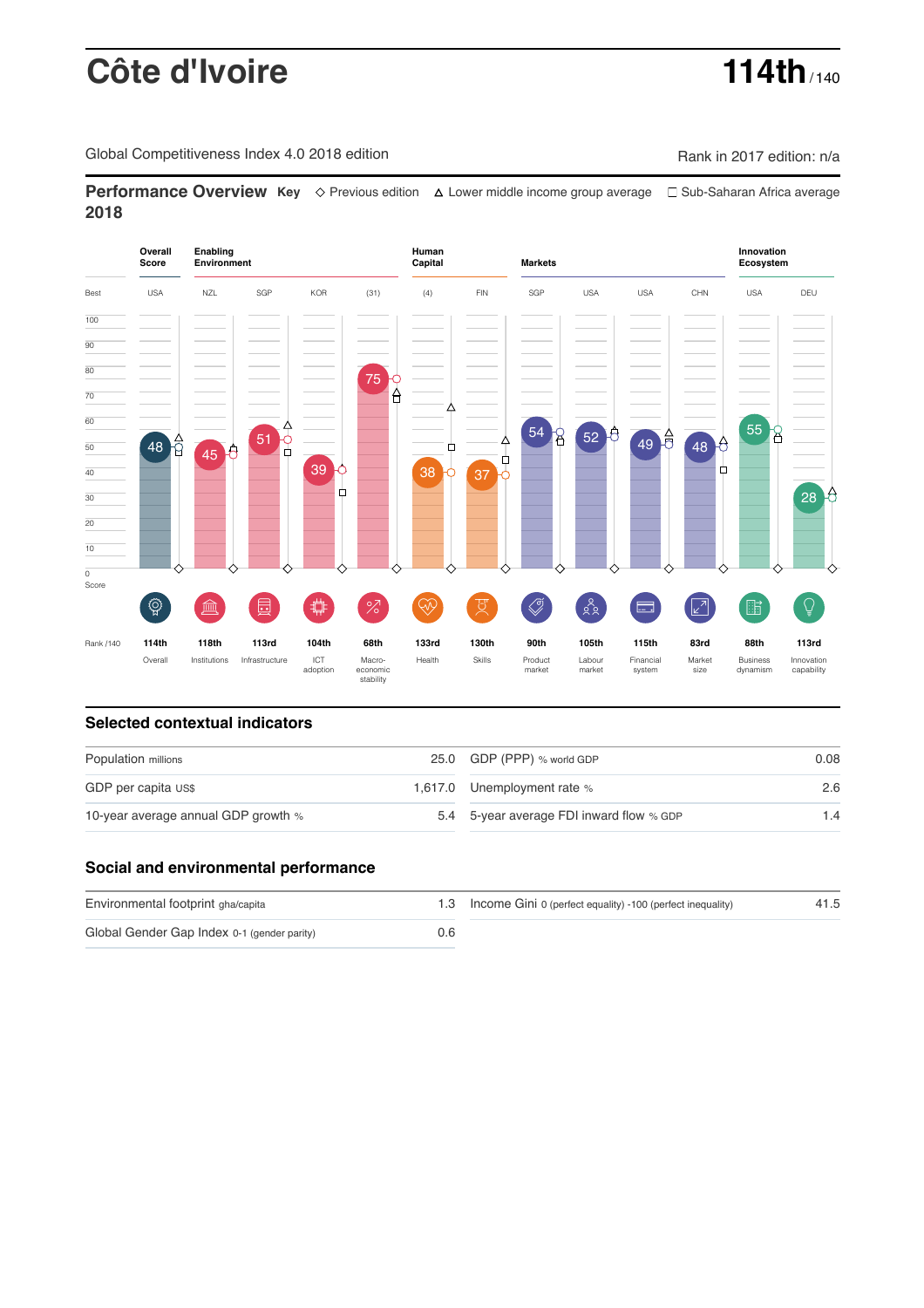# **Côte d'Ivoire 114th** / 140

Global Competitiveness Index 4.0 2018 edition Company Company Rank in 2017 edition: n/a

**Performance Overview Key** Previous edition Lower middle income group average Sub-Saharan Africa average **2018**



### **Selected contextual indicators**

| Population millions                 | 25.0 GDP (PPP) % world GDP               | 0.08 |  |
|-------------------------------------|------------------------------------------|------|--|
| GDP per capita US\$                 | 1,617.0 Unemployment rate %              | 2.6  |  |
| 10-year average annual GDP growth % | 5.4 5-year average FDI inward flow % GDP | 1.4  |  |

### **Social and environmental performance**

| Environmental footprint gha/capita          |     | 1.3 Income Gini 0 (perfect equality) -100 (perfect inequality) | 41.5 |
|---------------------------------------------|-----|----------------------------------------------------------------|------|
| Global Gender Gap Index 0-1 (gender parity) | 0.6 |                                                                |      |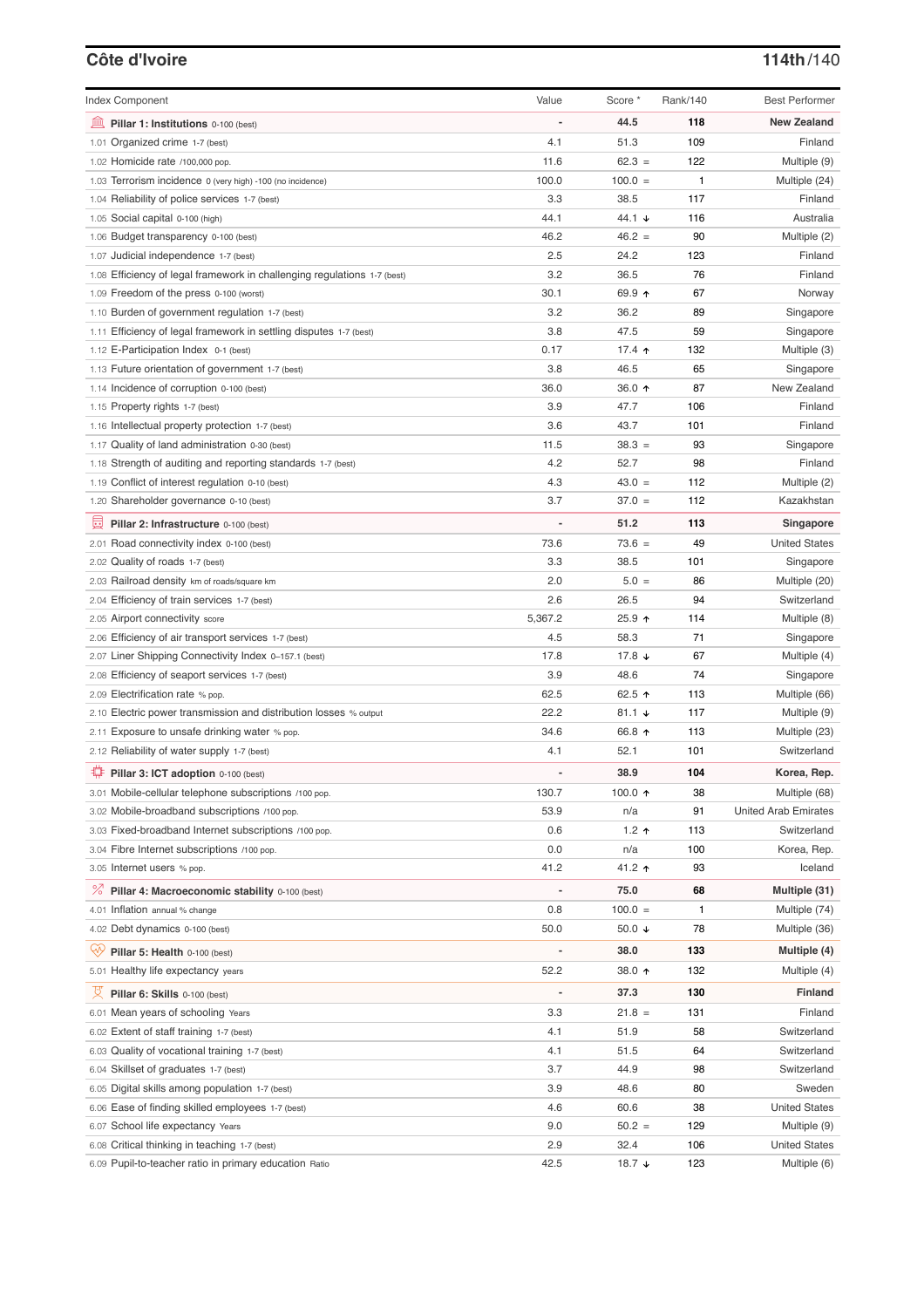# **Côte d'Ivoire 114th**/140

| <b>Index Component</b>                                                   | Value                        | Score *           | Rank/140 | <b>Best Performer</b>       |
|--------------------------------------------------------------------------|------------------------------|-------------------|----------|-----------------------------|
| Pillar 1: Institutions 0-100 (best)                                      |                              | 44.5              | 118      | <b>New Zealand</b>          |
| 1.01 Organized crime 1-7 (best)                                          | 4.1                          | 51.3              | 109      | Finland                     |
| 1.02 Homicide rate /100,000 pop.                                         | 11.6                         | $62.3 =$          | 122      | Multiple (9)                |
| 1.03 Terrorism incidence 0 (very high) -100 (no incidence)               | 100.0                        | $100.0 =$         | 1        | Multiple (24)               |
| 1.04 Reliability of police services 1-7 (best)                           | 3.3                          | 38.5              | 117      | Finland                     |
| 1.05 Social capital 0-100 (high)                                         | 44.1                         | 44.1 ↓            | 116      | Australia                   |
| 1.06 Budget transparency 0-100 (best)                                    | 46.2                         | $46.2 =$          | 90       | Multiple (2)                |
| 1.07 Judicial independence 1-7 (best)                                    | 2.5                          | 24.2              | 123      | Finland                     |
| 1.08 Efficiency of legal framework in challenging regulations 1-7 (best) | 3.2                          | 36.5              | 76       | Finland                     |
| 1.09 Freedom of the press 0-100 (worst)                                  | 30.1                         | 69.9 ↑            | 67       | Norway                      |
| 1.10 Burden of government regulation 1-7 (best)                          | 3.2                          | 36.2              | 89       | Singapore                   |
| 1.11 Efficiency of legal framework in settling disputes 1-7 (best)       | 3.8                          | 47.5              | 59       | Singapore                   |
| 1.12 E-Participation Index 0-1 (best)                                    | 0.17                         | 17.4 $\uparrow$   | 132      | Multiple (3)                |
| 1.13 Future orientation of government 1-7 (best)                         | 3.8                          | 46.5              | 65       | Singapore                   |
| 1.14 Incidence of corruption 0-100 (best)                                | 36.0                         | 36.0 ↑            | 87       | New Zealand                 |
| 1.15 Property rights 1-7 (best)                                          | 3.9                          | 47.7              | 106      | Finland                     |
| 1.16 Intellectual property protection 1-7 (best)                         | 3.6                          | 43.7              | 101      | Finland                     |
| 1.17 Quality of land administration 0-30 (best)                          | 11.5                         | $38.3 =$          | 93       | Singapore                   |
| 1.18 Strength of auditing and reporting standards 1-7 (best)             | 4.2                          | 52.7              | 98       | Finland                     |
| 1.19 Conflict of interest regulation 0-10 (best)                         | 4.3                          | $43.0 =$          | 112      | Multiple (2)                |
| 1.20 Shareholder governance 0-10 (best)                                  | 3.7                          | $37.0 =$          | 112      | Kazakhstan                  |
|                                                                          |                              |                   |          |                             |
| Pillar 2: Infrastructure 0-100 (best)                                    |                              | 51.2              | 113      | Singapore                   |
| 2.01 Road connectivity index 0-100 (best)                                | 73.6                         | $73.6 =$          | 49       | <b>United States</b>        |
| 2.02 Quality of roads 1-7 (best)                                         | 3.3                          | 38.5              | 101      | Singapore                   |
| 2.03 Railroad density km of roads/square km                              | 2.0                          | $5.0 =$           | 86       | Multiple (20)               |
| 2.04 Efficiency of train services 1-7 (best)                             | 2.6                          | 26.5              | 94       | Switzerland                 |
| 2.05 Airport connectivity score                                          | 5,367.2                      | 25.9 ↑            | 114      | Multiple (8)                |
| 2.06 Efficiency of air transport services 1-7 (best)                     | 4.5                          | 58.3              | 71       | Singapore                   |
| 2.07 Liner Shipping Connectivity Index 0-157.1 (best)                    | 17.8                         | 17.8 $\sqrt{ }$   | 67       | Multiple (4)                |
| 2.08 Efficiency of seaport services 1-7 (best)                           | 3.9                          | 48.6              | 74       | Singapore                   |
| 2.09 Electrification rate % pop.                                         | 62.5                         | 62.5 $\uparrow$   | 113      | Multiple (66)               |
| 2.10 Electric power transmission and distribution losses % output        | 22.2                         | $81.1$ ↓          | 117      | Multiple (9)                |
| 2.11 Exposure to unsafe drinking water % pop.                            | 34.6                         | 66.8 ↑            | 113      | Multiple (23)               |
| 2.12 Reliability of water supply 1-7 (best)                              | 4.1                          | 52.1              | 101      | Switzerland                 |
| Pillar 3: ICT adoption 0-100 (best)                                      |                              | 38.9              | 104      | Korea, Rep.                 |
| 3.01 Mobile-cellular telephone subscriptions /100 pop.                   | 130.7                        | 100.0 ↑           | 38       | Multiple (68)               |
| 3.02 Mobile-broadband subscriptions /100 pop.                            | 53.9                         | n/a               | 91       | <b>United Arab Emirates</b> |
| 3.03 Fixed-broadband Internet subscriptions /100 pop.                    | 0.6                          | 1.2 $\uparrow$    | 113      | Switzerland                 |
| 3.04 Fibre Internet subscriptions /100 pop.                              | 0.0                          | n/a               | 100      | Korea, Rep.                 |
| 3.05 Internet users % pop.                                               | 41.2                         | 41.2 ↑            | 93       | Iceland                     |
| ℅<br>Pillar 4: Macroeconomic stability 0-100 (best)                      | $\qquad \qquad \blacksquare$ | 75.0              | 68       | Multiple (31)               |
| 4.01 Inflation annual % change                                           | 0.8                          | $100.0 =$         | 1        | Multiple (74)               |
| 4.02 Debt dynamics 0-100 (best)                                          | 50.0                         | 50.0 $\sqrt{ }$   | 78       | Multiple (36)               |
| Qiy<br>Pillar 5: Health 0-100 (best)                                     |                              | 38.0              | 133      | Multiple (4)                |
| 5.01 Healthy life expectancy years                                       | 52.2                         | 38.0 个            | 132      | Multiple (4)                |
|                                                                          |                              |                   |          |                             |
| 섯<br>Pillar 6: Skills 0-100 (best)                                       | $\overline{a}$               | 37.3              | 130      | <b>Finland</b>              |
| 6.01 Mean years of schooling Years                                       | 3.3                          | $21.8 =$          | 131      | Finland                     |
| 6.02 Extent of staff training 1-7 (best)                                 | 4.1                          | 51.9              | 58       | Switzerland                 |
| 6.03 Quality of vocational training 1-7 (best)                           | 4.1                          | 51.5              | 64       | Switzerland                 |
| 6.04 Skillset of graduates 1-7 (best)                                    | 3.7                          | 44.9              | 98       | Switzerland                 |
| 6.05 Digital skills among population 1-7 (best)                          | 3.9                          | 48.6              | 80       | Sweden                      |
| 6.06 Ease of finding skilled employees 1-7 (best)                        | 4.6                          | 60.6              | 38       | <b>United States</b>        |
| 6.07 School life expectancy Years                                        | 9.0                          | $50.2 =$          | 129      | Multiple (9)                |
| 6.08 Critical thinking in teaching 1-7 (best)                            | 2.9                          | 32.4              | 106      | <b>United States</b>        |
| 6.09 Pupil-to-teacher ratio in primary education Ratio                   | 42.5                         | 18.7 $\downarrow$ | 123      | Multiple (6)                |